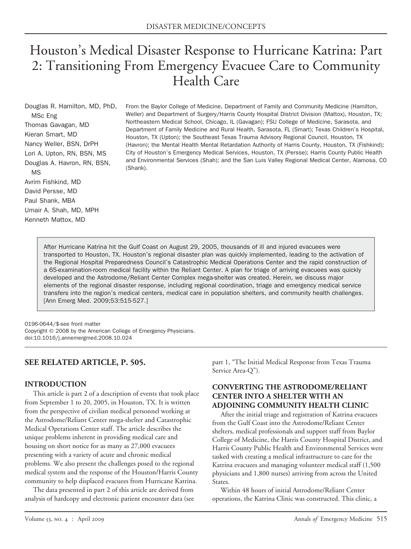# Houston's Medical Disaster Response to Hurricane Katrina: Part 2: Transitioning From Emergency Evacuee Care to Community Health Care

Douglas R. Hamilton, MD, PhD, MSc Eng Thomas Gavagan, MD Kieran Smart, MD Nancy Weller, BSN, DrPH Lori A. Upton, RN, BSN, MS Douglas A. Havron, RN, BSN, MS Avrim Fishkind, MD David Persse, MD Paul Shank, MBA Umair A. Shah, MD, MPH Kenneth Mattox, MD

From the Baylor College of Medicine, Department of Family and Community Medicine (Hamilton, Weller) and Department of Surgery/Harris County Hospital District Division (Mattox), Houston, TX; Northeastern Medical School, Chicago, IL (Gavagan); FSU College of Medicine, Sarasota, and Department of Family Medicine and Rural Health, Sarasota, FL (Smart); Texas Children's Hospital, Houston, TX (Upton); the Southeast Texas Trauma Advisory Regional Council, Houston, TX (Havron); the Mental Health Mental Retardation Authority of Harris County, Houston, TX (Fishkind); City of Houston's Emergency Medical Services, Houston, TX (Persse); Harris County Public Health and Environmental Services (Shah); and the San Luis Valley Regional Medical Center, Alamosa, CO (Shank).

After Hurricane Katrina hit the Gulf Coast on August 29, 2005, thousands of ill and injured evacuees were transported to Houston, TX. Houston's regional disaster plan was quickly implemented, leading to the activation of the Regional Hospital Preparedness Council's Catastrophic Medical Operations Center and the rapid construction of a 65-examination-room medical facility within the Reliant Center. A plan for triage of arriving evacuees was quickly developed and the Astrodome/Reliant Center Complex mega-shelter was created. Herein, we discuss major elements of the regional disaster response, including regional coordination, triage and emergency medical service transfers into the region's medical centers, medical care in population shelters, and community health challenges. [Ann Emerg Med. 2009;53:515-527.]

0196-0644/\$-see front matter Copyright © 2008 by the American College of Emergency Physicians. doi:10.1016/j.annemergmed.2008.10.024

# **SEE RELATED ARTICLE, P. 505.**

# **INTRODUCTION**

This article is part 2 of a description of events that took place from September 1 to 20, 2005, in Houston, TX. It is written from the perspective of civilian medical personnel working at the Astrodome/Reliant Center mega-shelter and Catastrophic Medical Operations Center staff. The article describes the unique problems inherent in providing medical care and housing on short notice for as many as 27,000 evacuees presenting with a variety of acute and chronic medical problems. We also present the challenges posed to the regional medical system and the response of the Houston/Harris County community to help displaced evacuees from Hurricane Katrina.

The data presented in part 2 of this article are derived from analysis of hardcopy and electronic patient encounter data (see part 1, "The Initial Medical Response from Texas Trauma Service Area-Q").

# **CONVERTING THE ASTRODOME/RELIANT CENTER INTO A SHELTER WITH AN ADJOINING COMMUNITY HEALTH CLINIC**

After the initial triage and registration of Katrina evacuees from the Gulf Coast into the Astrodome/Reliant Center shelters, medical professionals and support staff from Baylor College of Medicine, the Harris County Hospital District, and Harris County Public Health and Environmental Services were tasked with creating a medical infrastructure to care for the Katrina evacuees and managing volunteer medical staff (1,500 physicians and 1,800 nurses) arriving from across the United States.

Within 48 hours of initial Astrodome/Reliant Center operations, the Katrina Clinic was constructed. This clinic, a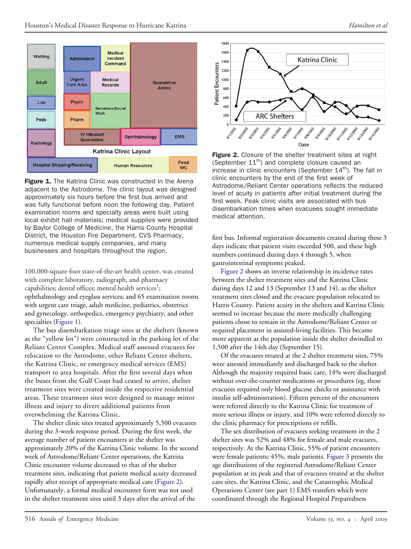<span id="page-1-0"></span>

Figure 1. The Katrina Clinic was constructed in the Arena adjacent to the Astrodome. The clinic layout was designed approximately six hours before the first bus arrived and was fully functional before noon the following day. Patient examination rooms and specialty areas were built using local exhibit hall materials; medical supplies were provided by Baylor College of Medicine, the Harris County Hospital District, the Houston Fire Department, CVS Pharmacy, numerous medical supply companies, and many businesses and hospitals throughout the region.

100,000-square-foot state-of-the-art health center, was created with complete laboratory, radiograph, and pharmacy capabilities; dental offices; mental health services<sup>[1](#page-11-0)</sup>; ophthalmology and eyeglass services; and 65 examination rooms with urgent care triage, adult medicine, pediatrics, obstetrics and gynecology, orthopedics, emergency psychiatry, and other specialties (Figure 1).

The bus disembarkation triage sites at the shelters (known as the "yellow lot") were constructed in the parking lot of the Reliant Center Complex. Medical staff assessed evacuees for relocation to the Astrodome, other Reliant Center shelters, the Katrina Clinic, or emergency medical services (EMS) transport to area hospitals. After the first several days when the buses from the Gulf Coast had ceased to arrive, shelter treatment sites were created inside the respective residential areas. These treatment sites were designed to manage minor illness and injury to divert additional patients from overwhelming the Katrina Clinic.

The shelter clinic sites treated approximately 5,500 evacuees during the 3-week response period. During the first week, the average number of patient encounters at the shelter was approximately 20% of the Katrina Clinic volume. In the second week of Astrodome/Reliant Center operations, the Katrina Clinic encounter volume decreased to that of the shelter treatment sites, indicating that patient medical acuity decreased rapidly after receipt of appropriate medical care (Figure 2). Unfortunately, a formal medical encounter form was not used in the shelter treatment sites until 3 days after the arrival of the



Figure 2. Closure of the shelter treatment sites at night (September  $11<sup>th</sup>$ ) and complete closure caused an increase in clinic encounters (September  $14<sup>th</sup>$ ). The fall in clinic encounters by the end of the first week of Astrodome/Reliant Center operations reflects the reduced level of acuity in patients after initial treatment during the first week. Peak clinic visits are associated with bus disembarkation times when evacuees sought immediate medical attention.

first bus. Informal registration documents created during these 3 days indicate that patient visits exceeded 500, and these high numbers continued during days 4 through 5, when gastrointestinal symptoms peaked.

Figure 2 shows an inverse relationship in incidence rates between the shelter treatment sites and the Katrina Clinic during days 12 and 13 (September 13 and 14), as the shelter treatment sites closed and the evacuee population relocated to Harris County. Patient acuity in the shelters and Katrina Clinic seemed to increase because the more medically challenging patients chose to remain in the Astrodome/Reliant Center or required placement in assisted-living facilities. This became more apparent as the population inside the shelter dwindled to 1,500 after the 14th day (September 15).

Of the evacuees treated at the 2 shelter treatment sites, 75% were assessed immediately and discharged back to the shelter. Although the majority required basic care, 14% were discharged without over-the-counter medications or procedures (eg, these evacuees required only blood glucose checks or assistance with insulin self-administration). Fifteen percent of the encounters were referred directly to the Katrina Clinic for treatment of more serious illness or injury, and 10% were referred directly to the clinic pharmacy for prescriptions or refills.

The sex distribution of evacuees seeking treatment in the 2 shelter sites was 52% and 48% for female and male evacuees, respectively. At the Katrina Clinic, 55% of patient encounters were female patients; 45%, male patients. [Figure 3](#page-2-0) presents the age distributions of the registered Astrodome/Reliant Center population at its peak and that of evacuees treated at the shelter care sites, the Katrina Clinic, and the Catastrophic Medical Operations Center (see part 1) EMS transfers which were coordinated through the Regional Hospital Preparedness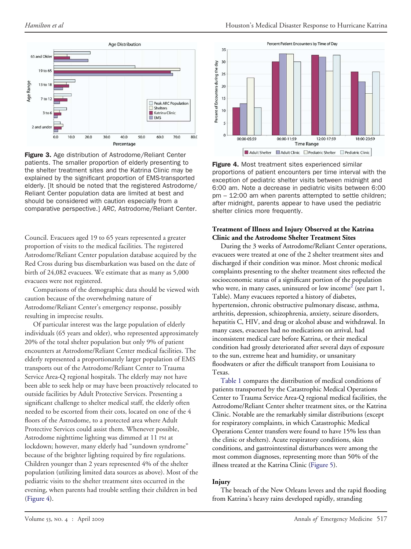<span id="page-2-0"></span>

Figure 3. Age distribution of Astrodome/Reliant Center patients. The smaller proportion of elderly presenting to the shelter treatment sites and the Katrina Clinic may be explained by the significant proportion of EMS-transported elderly. [It should be noted that the registered Astrodome/ Reliant Center population data are limited at best and should be considered with caution especially from a comparative perspective.] *ARC,* Astrodome/Reliant Center.

Council. Evacuees aged 19 to 65 years represented a greater proportion of visits to the medical facilities. The registered Astrodome/Reliant Center population database acquired by the Red Cross during bus disembarkation was based on the date of birth of 24,082 evacuees. We estimate that as many as 5,000 evacuees were not registered.

Comparisons of the demographic data should be viewed with caution because of the overwhelming nature of Astrodome/Reliant Center's emergency response, possibly resulting in imprecise results.

Of particular interest was the large population of elderly individuals (65 years and older), who represented approximately 20% of the total shelter population but only 9% of patient encounters at Astrodome/Reliant Center medical facilities. The elderly represented a proportionately larger population of EMS transports out of the Astrodome/Reliant Center to Trauma Service Area-Q regional hospitals. The elderly may not have been able to seek help or may have been proactively relocated to outside facilities by Adult Protective Services. Presenting a significant challenge to shelter medical staff, the elderly often needed to be escorted from their cots, located on one of the 4 floors of the Astrodome, to a protected area where Adult Protective Services could assist them. Whenever possible, Astrodome nighttime lighting was dimmed at 11 PM at lockdown; however, many elderly had "sundown syndrome" because of the brighter lighting required by fire regulations. Children younger than 2 years represented 4% of the shelter population (utilizing limited data sources as above). Most of the pediatric visits to the shelter treatment sites occurred in the evening, when parents had trouble settling their children in bed (Figure 4).



Figure 4. Most treatment sites experienced similar proportions of patient encounters per time interval with the exception of pediatric shelter visits between midnight and 6:00 am. Note a decrease in pediatric visits between 6:00 pm – 12:00 am when parents attempted to settle children; after midnight, parents appear to have used the pediatric shelter clinics more frequently.

## **Treatment of Illness and Injury Observed at the Katrina Clinic and the Astrodome Shelter Treatment Sites**

During the 3 weeks of Astrodome/Reliant Center operations, evacuees were treated at one of the 2 shelter treatment sites and discharged if their condition was minor. Most chronic medical complaints presenting to the shelter treatment sites reflected the socioeconomic status of a significant portion of the population who were, in many cases, uninsured or low income<sup>[2](#page-12-0)</sup> (see part 1, Table). Many evacuees reported a history of diabetes, hypertension, chronic obstructive pulmonary disease, asthma, arthritis, depression, schizophrenia, anxiety, seizure disorders, hepatitis C, HIV, and drug or alcohol abuse and withdrawal. In many cases, evacuees had no medications on arrival, had inconsistent medical care before Katrina, or their medical condition had grossly deteriorated after several days of exposure to the sun, extreme heat and humidity, or unsanitary floodwaters or after the difficult transport from Louisiana to Texas.

[Table 1](#page-3-0) compares the distribution of medical conditions of patients transported by the Catastrophic Medical Operations Center to Trauma Service Area-Q regional medical facilities, the Astrodome/Reliant Center shelter treatment sites, or the Katrina Clinic. Notable are the remarkably similar distributions (except for respiratory complaints, in which Catastrophic Medical Operations Center transfers were found to have 15% less than the clinic or shelters). Acute respiratory conditions, skin conditions, and gastrointestinal disturbances were among the most common diagnoses, representing more than 50% of the illness treated at the Katrina Clinic [\(Figure 5\)](#page-5-0).

# **Injury**

The breach of the New Orleans levees and the rapid flooding from Katrina's heavy rains developed rapidly, stranding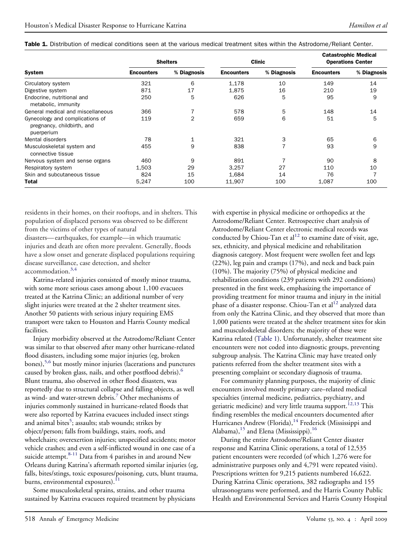|                                                                             | <b>Shelters</b>   |             | <b>Clinic</b>     |             | <b>Catastrophic Medical</b><br><b>Operations Center</b> |             |
|-----------------------------------------------------------------------------|-------------------|-------------|-------------------|-------------|---------------------------------------------------------|-------------|
| <b>System</b>                                                               | <b>Encounters</b> | % Diagnosis | <b>Encounters</b> | % Diagnosis | <b>Encounters</b>                                       | % Diagnosis |
| Circulatory system                                                          | 321               | 6           | 1,178             | 10          | 149                                                     | 14          |
| Digestive system                                                            | 871               | 17          | 1.875             | 16          | 210                                                     | 19          |
| Endocrine, nutritional and<br>metabolic, immunity                           | 250               | 5           | 626               | 5           | 95                                                      | 9           |
| General medical and miscellaneous                                           | 366               | 7           | 578               | 5           | 148                                                     | 14          |
| Gynecology and complications of<br>pregnancy, childbirth, and<br>puerperium | 119               | 2           | 659               | 6           | 51                                                      | 5           |
| Mental disorders                                                            | 78                | 1           | 321               | 3           | 65                                                      | 6           |
| Musculoskeletal system and<br>connective tissue                             | 455               | 9           | 838               |             | 93                                                      | 9           |
| Nervous system and sense organs                                             | 460               | 9           | 891               |             | 90                                                      | 8           |
| Respiratory system                                                          | 1.503             | 29          | 3,257             | 27          | 110                                                     | 10          |
| Skin and subcutaneous tissue                                                | 824               | 15          | 1.684             | 14          | 76                                                      |             |
| Total                                                                       | 5,247             | 100         | 11,907            | 100         | 1,087                                                   | 100         |

<span id="page-3-0"></span>Table 1. Distribution of medical conditions seen at the various medical treatment sites within the Astrodome/Reliant Center.

residents in their homes, on their rooftops, and in shelters. This population of displaced persons was observed to be different from the victims of other types of natural disasters—earthquakes, for example—in which traumatic injuries and death are often more prevalent. Generally, floods have a slow onset and generate displaced populations requiring disease surveillance, case detection, and shelter accommodation.[3,4](#page-12-0)

Katrina-related injuries consisted of mostly minor trauma, with some more serious cases among about 1,100 evacuees treated at the Katrina Clinic; an additional number of very slight injuries were treated at the 2 shelter treatment sites. Another 50 patients with serious injury requiring EMS transport were taken to Houston and Harris County medical facilities.

Injury morbidity observed at the Astrodome/Reliant Center was similar to that observed after many other hurricane-related flood disasters, including some major injuries (eg, broken bones),[5,6](#page-12-0) but mostly minor injuries (lacerations and punctures caused by broken glass, nails, and other postflood debris).<sup>[6](#page-12-0)</sup> Blunt trauma, also observed in other flood disasters, was reportedly due to structural collapse and falling objects, as well as wind- and water-strewn debris.<sup>[7](#page-12-0)</sup> Other mechanisms of injuries commonly sustained in hurricane-related floods that were also reported by Katrina evacuees included insect stings and animal bites<sup>5</sup>; assaults; stab wounds; strikes by object/person; falls from buildings, stairs, roofs, and wheelchairs; overexertion injuries; unspecified accidents; motor vehicle crashes; and even a self-inflicted wound in one case of a suicide attempt. $8-11$  Data from 4 parishes in and around New Orleans during Katrina's aftermath reported similar injuries (eg, falls, bites/stings, toxic exposures/poisoning, cuts, blunt trauma, burns, environmental exposures). $^{11}$  $^{11}$  $^{11}$ 

Some musculoskeletal sprains, strains, and other trauma sustained by Katrina evacuees required treatment by physicians with expertise in physical medicine or orthopedics at the Astrodome/Reliant Center. Retrospective chart analysis of Astrodome/Reliant Center electronic medical records was conducted by Chiou-Tan et  $al^{12}$  $al^{12}$  $al^{12}$  to examine date of visit, age, sex, ethnicity, and physical medicine and rehabilitation diagnosis category. Most frequent were swollen feet and legs (22%), leg pain and cramps (17%), and neck and back pain (10%). The majority (75%) of physical medicine and rehabilitation conditions (239 patients with 292 conditions) presented in the first week, emphasizing the importance of providing treatment for minor trauma and injury in the initial phase of a disaster response. Chiou-Tan et al<sup>[12](#page-12-0)</sup> analyzed data from only the Katrina Clinic, and they observed that more than 1,000 patients were treated at the shelter treatment sites for skin and musculoskeletal disorders; the majority of these were Katrina related (Table 1). Unfortunately, shelter treatment site encounters were not coded into diagnostic groups, preventing subgroup analysis. The Katrina Clinic may have treated only patients referred from the shelter treatment sites with a presenting complaint or secondary diagnosis of trauma.

For community planning purposes, the majority of clinic encounters involved mostly primary care–related medical specialties (internal medicine, pediatrics, psychiatry, and geriatric medicine) and very little trauma support.<sup>[12,13](#page-12-0)</sup> This finding resembles the medical encounters documented after Hurricanes Andrew (Florida),<sup>[14](#page-12-0)</sup> Frederick (Mississippi and Alabama), $15$  and Elena (Mississippi).<sup>16</sup>

During the entire Astrodome/Reliant Center disaster response and Katrina Clinic operations, a total of 12,535 patient encounters were recorded (of which 1,276 were for administrative purposes only and 4,791 were repeated visits). Prescriptions written for 9,215 patients numbered 16,622. During Katrina Clinic operations, 382 radiographs and 155 ultrasonograms were performed, and the Harris County Public Health and Environmental Services and Harris County Hospital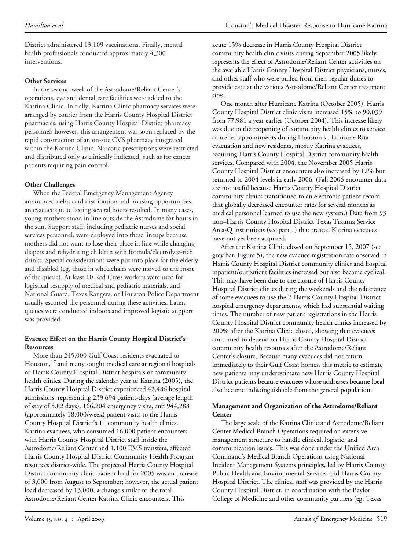District administered 13,109 vaccinations. Finally, mental health professionals conducted approximately 4,300 interventions.

# **Other Services**

In the second week of the Astrodome/Reliant Center's operations, eye and dental care facilities were added to the Katrina Clinic. Initially, Katrina Clinic pharmacy services were arranged by courier from the Harris County Hospital District pharmacies, using Harris County Hospital District pharmacy personnel; however, this arrangement was soon replaced by the rapid construction of an on-site CVS pharmacy integrated within the Katrina Clinic. Narcotic prescriptions were restricted and distributed only as clinically indicated, such as for cancer patients requiring pain control.

# **Other Challenges**

When the Federal Emergency Management Agency announced debit card distribution and housing opportunities, an evacuee queue lasting several hours resulted. In many cases, young mothers stood in line outside the Astrodome for hours in the sun. Support staff, including pediatric nurses and social services personnel, were deployed into these lineups because mothers did not want to lose their place in line while changing diapers and rehydrating children with formula/electrolyte-rich drinks. Special considerations were put into place for the elderly and disabled (eg, those in wheelchairs were moved to the front of the queue). At least 10 Red Cross workers were used for logistical resupply of medical and pediatric materials, and National Guard, Texas Rangers, or Houston Police Department usually escorted the personnel during these activities. Later, queues were conducted indoors and improved logistic support was provided.

# **Evacuee Effect on the Harris County Hospital District's Resources**

More than 245,000 Gulf Coast residents evacuated to Houston,[17](#page-12-0) and many sought medical care at regional hospitals or Harris County Hospital District hospitals or community health clinics. During the calendar year of Katrina (2005), the Harris County Hospital District experienced 42,486 hospital admissions, representing 239,694 patient-days (average length of stay of 5.82 days), 166,204 emergency visits, and 944,288 (approximately 18,000/week) patient visits to the Harris County Hospital District's 11 community health clinics. Katrina evacuees, who consumed 16,000 patient encounters with Harris County Hospital District staff inside the Astrodome/Reliant Center and 1,100 EMS transfers, affected Harris County Hospital District Community Health Program resources district-wide. The projected Harris County Hospital District community clinic patient load for 2005 was an increase of 3,000 from August to September; however, the actual patient load decreased by 13,000, a change similar to the total Astrodome/Reliant Center Katrina Clinic encounters. This

acute 15% decrease in Harris County Hospital District community health clinic visits during September 2005 likely represents the effect of Astrodome/Reliant Center activities on the available Harris County Hospital District physicians, nurses, and other staff who were pulled from their regular duties to provide care at the various Astrodome/Reliant Center treatment sites.

One month after Hurricane Katrina (October 2005), Harris County Hospital District clinic visits increased 15% to 90,039 from 77,981 a year earlier (October 2004). This increase likely was due to the reopening of community health clinics to service cancelled appointments during Houston's Hurricane Rita evacuation and new residents, mostly Katrina evacuees, requiring Harris County Hospital District community health services. Compared with 2004, the November 2005 Harris County Hospital District encounters also increased by 12% but returned to 2004 levels in early 2006. (Fall 2006 encounter data are not useful because Harris County Hospital District community clinics transitioned to an electronic patient record that globally decreased encounter rates for several months as medical personnel learned to use the new system.) Data from 93 non–Harris County Hospital District Texas Trauma Service Area-Q institutions (see part 1) that treated Katrina evacuees have not yet been acquired.

After the Katrina Clinic closed on September 15, 2007 (see grey bar, [Figure 5\)](#page-5-0), the new evacuee registration rate observed in Harris County Hospital District community clinics and hospital inpatient/outpatient facilities increased but also became cyclical. This may have been due to the closure of Harris County Hospital District clinics during the weekends and the reluctance of some evacuees to use the 2 Harris County Hospital District hospital emergency departments, which had substantial waiting times. The number of new patient registrations in the Harris County Hospital District community health clinics increased by 200% after the Katrina Clinic closed, showing that evacuees continued to depend on Harris County Hospital District community health resources after the Astrodome/Reliant Center's closure. Because many evacuees did not return immediately to their Gulf Coast homes, this metric to estimate new patients may underestimate new Harris County Hospital District patients because evacuees whose addresses became local also became indistinguishable from the general population.

## **Management and Organization of the Astrodome/Reliant Center**

The large scale of the Katrina Clinic and Astrodome/Reliant Center Medical Branch Operations required an extensive management structure to handle clinical, logistic, and communication issues. This was done under the Unified Area Command's Medical Branch Operations using National Incident Management Systems principles, led by Harris County Public Health and Environmental Services and Harris County Hospital District. The clinical staff was provided by the Harris County Hospital District, in coordination with the Baylor College of Medicine and other community partners (eg, Texas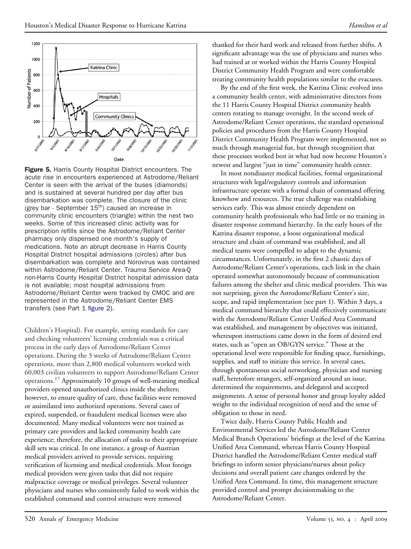<span id="page-5-0"></span>

Figure 5. Harris County Hospital District encounters. The acute rise in encounters experienced at Astrodome/Reliant Center is seen with the arrival of the buses (diamonds) and is sustained at several hundred per day after bus disembarkation was complete. The closure of the clinic (grey bar - September  $15<sup>th</sup>$ ) caused an increase in community clinic encounters (triangle) within the next two weeks. Some of this increased clinic activity was for prescription refills since the Astrodome/Reliant Center pharmacy only dispensed one month's supply of medications. Note an abrupt decrease in Harris County Hospital District hospital admissions (circles) after bus disembarkation was complete and Norovirus was contained within Astrodome/Reliant Center. Trauma Service Area-Q non-Harris County Hospital District hospital admission data is not available; most hospital admissions from Astrodome/Reliant Center were tracked by CMOC and are represented in the Astrodome/Reliant Center EMS transfers (see Part 1 [figure 2\)](#page-1-0).

Children's Hospital). For example, setting standards for care and checking volunteers' licensing credentials was a critical process in the early days of Astrodome/Reliant Center operations. During the 3 weeks of Astrodome/Reliant Center operations, more than 2,800 medical volunteers worked with 60,003 civilian volunteers to support Astrodome/Reliant Center operations.[17](#page-12-0) Approximately 10 groups of well-meaning medical providers opened unauthorized clinics inside the shelters; however, to ensure quality of care, these facilities were removed or assimilated into authorized operations. Several cases of expired, suspended, or fraudulent medical licenses were also documented. Many medical volunteers were not trained as primary care providers and lacked community health care experience; therefore, the allocation of tasks to their appropriate skill sets was critical. In one instance, a group of Austrian medical providers arrived to provide services, requiring verification of licensing and medical credentials. Most foreign medical providers were given tasks that did not require malpractice coverage or medical privileges. Several volunteer physicians and nurses who consistently failed to work within the established command and control structure were removed

thanked for their hard work and released from further shifts. A significant advantage was the use of physicians and nurses who had trained at or worked within the Harris County Hospital District Community Health Program and were comfortable treating community health populations similar to the evacuees.

By the end of the first week, the Katrina Clinic evolved into a community health center, with administrative directors from the 11 Harris County Hospital District community health centers rotating to manage oversight. In the second week of Astrodome/Reliant Center operations, the standard operational policies and procedures from the Harris County Hospital District Community Health Program were implemented, not so much through managerial fiat, but through recognition that these processes worked best in what had now become Houston's newest and largest "just in time" community health center.

In most nondisaster medical facilities, formal organizational structures with legal/regulatory controls and information infrastructure operate with a formal chain of command offering knowhow and resources. The true challenge was establishing services early. This was almost entirely dependent on community health professionals who had little or no training in disaster response command hierarchy. In the early hours of the Katrina disaster response, a loose organizational medical structure and chain of command was established, and all medical teams were compelled to adapt to the dynamic circumstances. Unfortunately, in the first 2 chaotic days of Astrodome/Reliant Center's operations, each link in the chain operated somewhat autonomously because of communication failures among the shelter and clinic medical providers. This was not surprising, given the Astrodome/Reliant Center's size, scope, and rapid implementation (see part 1). Within 3 days, a medical command hierarchy that could effectively communicate with the Astrodome/Reliant Center Unified Area Command was established, and management by objectives was initiated, whereupon instructions came down in the form of desired end states, such as "open an OB/GYN service." Those at the operational level were responsible for finding space, furnishings, supplies, and staff to initiate this service. In several cases, through spontaneous social networking, physician and nursing staff, heretofore strangers, self-organized around an issue, determined the requirements, and delegated and accepted assignments. A sense of personal honor and group loyalty added weight to the individual recognition of need and the sense of obligation to those in need.

Twice daily, Harris County Public Health and Environmental Services led the Astrodome/Reliant Center Medical Branch Operations' briefings at the level of the Katrina Unified Area Command, whereas Harris County Hospital District handled the Astrodome/Reliant Center medical staff briefings to inform senior physicians/nurses about policy decisions and overall patient care changes ordered by the Unified Area Command. In time, this management structure provided control and prompt decisionmaking to the Astrodome/Reliant Center.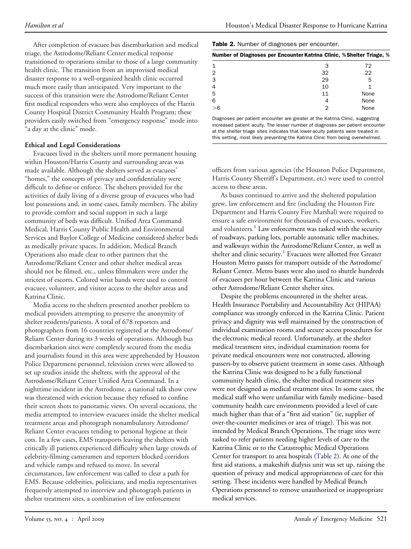After completion of evacuee bus disembarkation and medical triage, the Astrodome/Reliant Center medical response transitioned to operations similar to those of a large community health clinic. The transition from an improvised medical disaster response to a well-organized health clinic occurred much more easily than anticipated. Very important to the success of this transition were the Astrodome/Reliant Center first medical responders who were also employees of the Harris County Hospital District Community Health Program; these providers easily switched from "emergency response" mode into "a day at the clinic" mode.

#### **Ethical and Legal Considerations**

Evacuees lived in the shelters until more permanent housing within Houston/Harris County and surrounding areas was made available. Although the shelters served as evacuees' "homes," the concepts of privacy and confidentiality were difficult to define or enforce. The shelters provided for the activities of daily living of a diverse group of evacuees who had lost possessions and, in some cases, family members. The ability to provide comfort and social support in such a large community of beds was difficult. Unified Area Command Medical, Harris County Public Health and Environmental Services and Baylor College of Medicine considered shelter beds as medically private spaces. In addition, Medical Branch Operations also made clear to other partners that the Astrodome/Reliant Center and other shelter medical areas should not be filmed, etc., unless filmmakers were under the strictest of escorts. Colored wrist bands were used to control evacuee, volunteer, and visitor access to the shelter areas and Katrina Clinic.

Media access to the shelters presented another problem to medical providers attempting to preserve the anonymity of shelter residents/patients. A total of 678 reporters and photographers from 16 countries registered at the Astrodome/ Reliant Center during its 3 weeks of operations. Although bus disembarkation sites were completely secured from the media and journalists found in this area were apprehended by Houston Police Department personnel, television crews were allowed to set up studios inside the shelters, with the approval of the Astrodome/Reliant Center Unified Area Command. In a nighttime incident in the Astrodome, a national talk show crew was threatened with eviction because they refused to confine their screen shots to panoramic views. On several occasions, the media attempted to interview evacuees inside the shelter medical treatment areas and photograph nonambulatory Astrodome/ Reliant Center evacuees tending to personal hygiene at their cots. In a few cases, EMS transports leaving the shelters with critically ill patients experienced difficulty when large crowds of celebrity-filming cameramen and reporters blocked corridors and vehicle ramps and refused to move. In several circumstances, law enforcement was called to clear a path for EMS. Because celebrities, politicians, and media representatives frequently attempted to interview and photograph patients in shelter treatment sites, a combination of law enforcement

|  |  |  |  |  |  |  | Table 2. Number of diagnoses per encounter. |
|--|--|--|--|--|--|--|---------------------------------------------|
|--|--|--|--|--|--|--|---------------------------------------------|

|  | Number of Diagnoses per Encounter Katrina Clinic, % Shelter Triage, % |  |  |  |
|--|-----------------------------------------------------------------------|--|--|--|
|  |                                                                       |  |  |  |

| 1              | 3  | 72   |
|----------------|----|------|
| 2              | 32 | 22   |
| 3              | 29 | 5    |
| $\overline{4}$ | 10 |      |
| 5              | 11 | None |
| $6$<br>$>6$    |    | None |
|                | 2  | None |
|                |    |      |

Diagnoses per patient encounter are greater at the Katrina Clinic, suggesting increased patient acuity. The lesser number of diagnoses per patient encounter at the shelter triage sites indicates that lower-acuity patients were treated in this setting, most likely preventing the Katrina Clinic from being overwhelmed.

officers from various agencies (the Houston Police Department, Harris County Sherriff's Department, etc) were used to control access to these areas.

As buses continued to arrive and the sheltered population grew, law enforcement and fire (including the Houston Fire Department and Harris County Fire Marshal) were required to ensure a safe environment for thousands of evacuees, workers, and volunteers.<sup>[1](#page-11-0)</sup> Law enforcement was tasked with the security of roadways, parking lots, portable automatic teller machines, and walkways within the Astrodome/Reliant Center, as well as shelter and clinic security.<sup>[1](#page-11-0)</sup> Evacuees were allotted free Greater Houston Metro passes for transport outside of the Astrodome/ Reliant Center. Metro buses were also used to shuttle hundreds of evacuees per hour between the Katrina Clinic and various other Astrodome/Reliant Center shelter sites.

Despite the problems encountered in the shelter areas, Health Insurance Portability and Accountability Act (HIPAA) compliance was strongly enforced in the Katrina Clinic. Patient privacy and dignity was well maintained by the construction of individual examination rooms and secure access procedures for the electronic medical record. Unfortunately, at the shelter medical treatment sites, individual examination rooms for private medical encounters were not constructed, allowing passers-by to observe patient treatment in some cases. Although the Katrina Clinic was designed to be a fully functional community health clinic, the shelter medical treatment sites were not designed as medical treatment sites. In some cases, the medical staff who were unfamiliar with family medicine–based community health care environments provided a level of care much higher than that of a "first aid station" (ie, supplier of over-the-counter medicines or area of triage). This was not intended by Medical Branch Operations. The triage sites were tasked to refer patients needing higher levels of care to the Katrina Clinic or to the Catastrophic Medical Operations Center for transport to area hospitals (Table 2). At one of the first aid stations, a makeshift dialysis unit was set up, raising the question of privacy and medical appropriateness of care for this setting. These incidents were handled by Medical Branch Operations personnel to remove unauthorized or inappropriate medical services.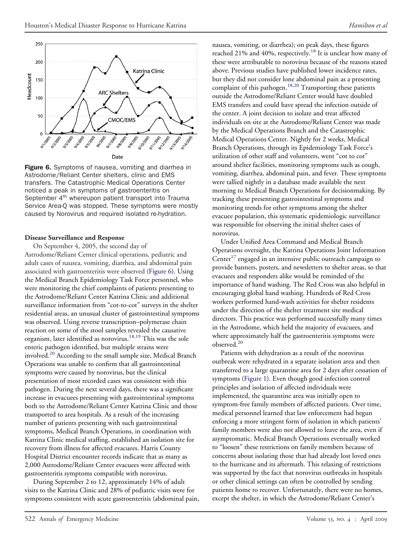

Figure 6. Symptoms of nausea, vomiting and diarrhea in Astrodome/Reliant Center shelters, clinic and EMS transfers. The Catastrophic Medical Operations Center noticed a peak in symptoms of gastroenteritis on September  $4<sup>th</sup>$  whereupon patient transport into Trauma Service Area-Q was stopped. These symptoms were mostly caused by Norovirus and required isolated re-hydration.

#### **Disease Surveillance and Response**

On September 4, 2005, the second day of Astrodome/Reliant Center clinical operations, pediatric and adult cases of nausea, vomiting, diarrhea, and abdominal pain associated with gastroenteritis were observed (Figure 6). Using the Medical Branch Epidemiology Task Force personnel, who were monitoring the chief complaints of patients presenting to the Astrodome/Reliant Center Katrina Clinic and additional surveillance information from "cot-to-cot" surveys in the shelter residential areas, an unusual cluster of gastrointestinal symptoms was observed. Using reverse transcription–polymerase chain reaction on some of the stool samples revealed the causative organism, later identified as norovirus.<sup>[18,19](#page-12-0)</sup> This was the sole enteric pathogen identified, but multiple strains were involved.[20](#page-12-0) According to the small sample size, Medical Branch Operations was unable to confirm that all gastrointestinal symptoms were caused by norovirus, but the clinical presentation of most recorded cases was consistent with this pathogen. During the next several days, there was a significant increase in evacuees presenting with gastrointestinal symptoms both to the Astrodome/Reliant Center Katrina Clinic and those transported to area hospitals. As a result of the increasing number of patients presenting with such gastrointestinal symptoms, Medical Branch Operations, in coordination with Katrina Clinic medical staffing, established an isolation site for recovery from illness for affected evacuees. Harris County Hospital District encounter records indicate that as many as 2,000 Astrodome/Reliant Center evacuees were affected with gastroenteritis symptoms compatible with norovirus.

During September 2 to 12, approximately 14% of adult visits to the Katrina Clinic and 28% of pediatric visits were for symptoms consistent with acute gastroenteritis (abdominal pain,

nausea, vomiting, or diarrhea); on peak days, these figures reached 21% and 40%, respectively.<sup>[18](#page-12-0)</sup> It is unclear how many of these were attributable to norovirus because of the reasons stated above. Previous studies have published lower incidence rates, but they did not consider lone abdominal pain as a presenting complaint of this pathogen.<sup>18,20</sup> Transporting these patients outside the Astrodome/Reliant Center would have doubled EMS transfers and could have spread the infection outside of the center. A joint decision to isolate and treat affected individuals on site at the Astrodome/Reliant Center was made by the Medical Operations Branch and the Catastrophic Medical Operations Center. Nightly for 2 weeks, Medical Branch Operations, through its Epidemiology Task Force's utilization of other staff and volunteers, went "cot to cot" around shelter facilities, monitoring symptoms such as cough, vomiting, diarrhea, abdominal pain, and fever. These symptoms were tallied nightly in a database made available the next morning to Medical Branch Operations for decisionmaking. By tracking these presenting gastrointestinal symptoms and monitoring trends for other symptoms among the shelter evacuee population, this systematic epidemiologic surveillance was responsible for observing the initial shelter cases of norovirus.

Under Unified Area Command and Medical Branch Operations oversight, the Katrina Operations Joint Information Center<sup>[17](#page-12-0)</sup> engaged in an intensive public outreach campaign to provide banners, posters, and newsletters to shelter areas, so that evacuees and responders alike would be reminded of the importance of hand washing. The Red Cross was also helpful in encouraging global hand washing. Hundreds of Red Cross workers performed hand-wash activities for shelter residents under the direction of the shelter treatment site medical directors. This practice was performed successfully many times in the Astrodome, which held the majority of evacuees, and where approximately half the gastroenteritis symptoms were observed[.20](#page-12-0)

Patients with dehydration as a result of the norovirus outbreak were rehydrated in a separate isolation area and then transferred to a large quarantine area for 2 days after cessation of symptoms [\(Figure 1\)](#page-1-0). Even though good infection control principles and isolation of affected individuals were implemented, the quarantine area was initially open to symptom-free family members of affected patients. Over time, medical personnel learned that law enforcement had begun enforcing a more stringent form of isolation in which patients' family members were also not allowed to leave the area, even if asymptomatic. Medical Branch Operations eventually worked to "loosen" these restrictions on family members because of concerns about isolating those that had already lost loved ones to the hurricane and its aftermath. This relaxing of restrictions was supported by the fact that norovirus outbreaks in hospitals or other clinical settings can often be controlled by sending patients home to recover. Unfortunately, there were no homes, except the shelter, in which the Astrodome/Reliant Center's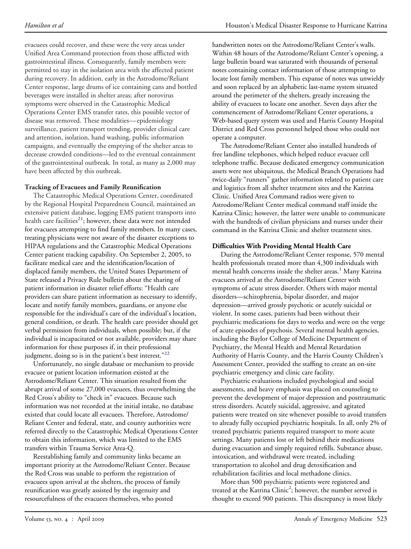evacuees could recover, and these were the very areas under Unified Area Command protection from those afflicted with gastrointestinal illness. Consequently, family members were permitted to stay in the isolation area with the affected patient during recovery. In addition, early in the Astrodome/Reliant Center response, large drums of ice containing cans and bottled beverages were installed in shelter areas; after norovirus symptoms were observed in the Catastrophic Medical Operations Center EMS transfer rates, this possible vector of disease was removed. These modalities—epidemiology surveillance, patient transport trending, provider clinical care and attention, isolation, hand washing, public information campaigns, and eventually the emptying of the shelter areas to decrease crowded conditions—led to the eventual containment of the gastrointestinal outbreak. In total, as many as 2,000 may have been affected by this outbreak.

## **Tracking of Evacuees and Family Reunification**

The Catastrophic Medical Operations Center, coordinated by the Regional Hospital Preparedness Council, maintained an extensive patient database, logging EMS patient transports into health care facilities<sup>21</sup>; however, these data were not intended for evacuees attempting to find family members. In many cases, treating physicians were not aware of the disaster exceptions to HIPAA regulations and the Catastrophic Medical Operations Center patient tracking capability. On September 2, 2005, to facilitate medical care and the identification/location of displaced family members, the United States Department of State released a Privacy Rule bulletin about the sharing of patient information in disaster relief efforts: "Health care providers can share patient information as necessary to identify, locate and notify family members, guardians, or anyone else responsible for the individual's care of the individual's location, general condition, or death. The health care provider should get verbal permission from individuals, when possible; but, if the individual is incapacitated or not available, providers may share information for these purposes if, in their professional judgment, doing so is in the patient's best interest."<sup>[22](#page-12-0)</sup>

Unfortunately, no single database or mechanism to provide evacuee or patient location information existed at the Astrodome/Reliant Center. This situation resulted from the abrupt arrival of some 27,000 evacuees, thus overwhelming the Red Cross's ability to "check in" evacuees. Because such information was not recorded at the initial intake, no database existed that could locate all evacuees. Therefore, Astrodome/ Reliant Center and federal, state, and county authorities were referred directly to the Catastrophic Medical Operations Center to obtain this information, which was limited to the EMS transfers within Trauma Service Area-Q.

Reestablishing family and community links became an important priority at the Astrodome/Reliant Center. Because the Red Cross was unable to perform the registration of evacuees upon arrival at the shelters, the process of family reunification was greatly assisted by the ingenuity and resourcefulness of the evacuees themselves, who posted

handwritten notes on the Astrodome/Reliant Center's walls. Within 48 hours of the Astrodome/Reliant Center's opening, a large bulletin board was saturated with thousands of personal notes containing contact information of those attempting to locate lost family members. This expanse of notes was unwieldy and soon replaced by an alphabetic last-name system situated around the perimeter of the shelters, greatly increasing the ability of evacuees to locate one another. Seven days after the commencement of Astrodome/Reliant Center operations, a Web-based query system was used and Harris County Hospital District and Red Cross personnel helped those who could not operate a computer.

The Astrodome/Reliant Center also installed hundreds of free landline telephones, which helped reduce evacuee cell telephone traffic. Because dedicated emergency communication assets were not ubiquitous, the Medical Branch Operations had twice-daily "runners" gather information related to patient care and logistics from all shelter treatment sites and the Katrina Clinic. Unified Area Command radios were given to Astrodome/Reliant Center medical command staff inside the Katrina Clinic; however, the latter were unable to communicate with the hundreds of civilian physicians and nurses under their command in the Katrina Clinic and shelter treatment sites.

# **Difficulties With Providing Mental Health Care**

During the Astrodome/Reliant Center response, 570 mental health professionals treated more than 4,300 individuals with mental health concerns inside the shelter areas.<sup>[1](#page-11-0)</sup> Many Katrina evacuees arrived at the Astrodome/Reliant Center with symptoms of acute stress disorder. Others with major mental disorders—schizophrenia, bipolar disorder, and major depression—arrived grossly psychotic or acutely suicidal or violent. In some cases, patients had been without their psychiatric medications for days to weeks and were on the verge of acute episodes of psychosis. Several mental health agencies, including the Baylor College of Medicine Department of Psychiatry, the Mental Health and Mental Retardation Authority of Harris County, and the Harris County Children's Assessment Center, provided the staffing to create an on-site psychiatric emergency and clinic care facility.

Psychiatric evaluations included psychological and social assessments, and heavy emphasis was placed on counseling to prevent the development of major depression and posttraumatic stress disorders. Acutely suicidal, aggressive, and agitated patients were treated on site whenever possible to avoid transfers to already fully occupied psychiatric hospitals. In all, only 2% of treated psychiatric patients required transport to more acute settings. Many patients lost or left behind their medications during evacuation and simply required refills. Substance abuse, intoxication, and withdrawal were treated, including transportation to alcohol and drug detoxification and rehabilitation facilities and local methadone clinics.

More than 500 psychiatric patients were registered and treated at the Katrina Clinic<sup>2</sup>; however, the number served is thought to exceed 900 patients. This discrepancy is most likely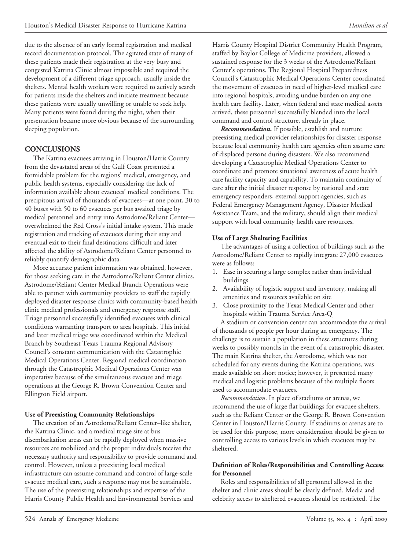due to the absence of an early formal registration and medical record documentation protocol. The agitated state of many of these patients made their registration at the very busy and congested Katrina Clinic almost impossible and required the development of a different triage approach, usually inside the shelters. Mental health workers were required to actively search for patients inside the shelters and initiate treatment because these patients were usually unwilling or unable to seek help. Many patients were found during the night, when their presentation became more obvious because of the surrounding sleeping population.

# **CONCLUSIONS**

The Katrina evacuees arriving in Houston/Harris County from the devastated areas of the Gulf Coast presented a formidable problem for the regions' medical, emergency, and public health systems, especially considering the lack of information available about evacuees' medical conditions. The precipitous arrival of thousands of evacuees—at one point, 30 to 40 buses with 50 to 60 evacuees per bus awaited triage by medical personnel and entry into Astrodome/Reliant Center overwhelmed the Red Cross's initial intake system. This made registration and tracking of evacuees during their stay and eventual exit to their final destinations difficult and later affected the ability of Astrodome/Reliant Center personnel to reliably quantify demographic data.

More accurate patient information was obtained, however, for those seeking care in the Astrodome/Reliant Center clinics. Astrodome/Reliant Center Medical Branch Operations were able to partner with community providers to staff the rapidly deployed disaster response clinics with community-based health clinic medical professionals and emergency response staff. Triage personnel successfully identified evacuees with clinical conditions warranting transport to area hospitals. This initial and later medical triage was coordinated within the Medical Branch by Southeast Texas Trauma Regional Advisory Council's constant communication with the Catastrophic Medical Operations Center. Regional medical coordination through the Catastrophic Medical Operations Center was imperative because of the simultaneous evacuee and triage operations at the George R. Brown Convention Center and Ellington Field airport.

## **Use of Preexisting Community Relationships**

The creation of an Astrodome/Reliant Center–like shelter, the Katrina Clinic, and a medical triage site at bus disembarkation areas can be rapidly deployed when massive resources are mobilized and the proper individuals receive the necessary authority and responsibility to provide command and control. However, unless a preexisting local medical infrastructure can assume command and control of large-scale evacuee medical care, such a response may not be sustainable. The use of the preexisting relationships and expertise of the Harris County Public Health and Environmental Services and

Harris County Hospital District Community Health Program, staffed by Baylor College of Medicine providers, allowed a sustained response for the 3 weeks of the Astrodome/Reliant Center's operations. The Regional Hospital Preparedness Council's Catastrophic Medical Operations Center coordinated the movement of evacuees in need of higher-level medical care into regional hospitals, avoiding undue burden on any one health care facility. Later, when federal and state medical assets arrived, these personnel successfully blended into the local command and control structure, already in place.

*Recommendation.* If possible, establish and nurture preexisting medical provider relationships for disaster response because local community health care agencies often assume care of displaced persons during disasters. We also recommend developing a Catastrophic Medical Operations Center to coordinate and promote situational awareness of acute health care facility capacity and capability. To maintain continuity of care after the initial disaster response by national and state emergency responders, external support agencies, such as Federal Emergency Management Agency, Disaster Medical Assistance Team, and the military, should align their medical support with local community health care resources.

## **Use of Large Sheltering Facilities**

The advantages of using a collection of buildings such as the Astrodome/Reliant Center to rapidly integrate 27,000 evacuees were as follows:

- 1. Ease in securing a large complex rather than individual buildings
- 2. Availability of logistic support and inventory, making all amenities and resources available on site
- 3. Close proximity to the Texas Medical Center and other hospitals within Trauma Service Area-Q

A stadium or convention center can accommodate the arrival of thousands of people per hour during an emergency. The challenge is to sustain a population in these structures during weeks to possibly months in the event of a catastrophic disaster. The main Katrina shelter, the Astrodome, which was not scheduled for any events during the Katrina operations, was made available on short notice; however, it presented many medical and logistic problems because of the multiple floors used to accommodate evacuees.

*Recommendation*. In place of stadiums or arenas, we recommend the use of large flat buildings for evacuee shelters, such as the Reliant Center or the George R. Brown Convention Center in Houston/Harris County. If stadiums or arenas are to be used for this purpose, more consideration should be given to controlling access to various levels in which evacuees may be sheltered.

# **Definition of Roles/Responsibilities and Controlling Access for Personnel**

Roles and responsibilities of all personnel allowed in the shelter and clinic areas should be clearly defined. Media and celebrity access to sheltered evacuees should be restricted. The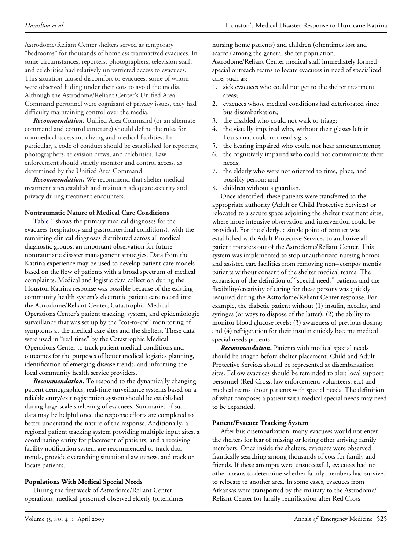Astrodome/Reliant Center shelters served as temporary "bedrooms" for thousands of homeless traumatized evacuees. In some circumstances, reporters, photographers, television staff, and celebrities had relatively unrestricted access to evacuees. This situation caused discomfort to evacuees, some of whom were observed hiding under their cots to avoid the media. Although the Astrodome/Reliant Center's Unified Area Command personnel were cognizant of privacy issues, they had difficulty maintaining control over the media.

*Recommendation.* Unified Area Command (or an alternate command and control structure) should define the rules for nonmedical access into living and medical facilities. In particular, a code of conduct should be established for reporters, photographers, television crews, and celebrities. Law enforcement should strictly monitor and control access, as determined by the Unified Area Command.

*Recommendation.* We recommend that shelter medical treatment sites establish and maintain adequate security and privacy during treatment encounters.

## **Nontraumatic Nature of Medical Care Conditions**

[Table 1](#page-3-0) shows the primary medical diagnoses for the evacuees (respiratory and gastrointestinal conditions), with the remaining clinical diagnoses distributed across all medical diagnostic groups, an important observation for future nontraumatic disaster management strategies. Data from the Katrina experience may be used to develop patient care models based on the flow of patients with a broad spectrum of medical complaints. Medical and logistic data collection during the Houston Katrina response was possible because of the existing community health system's electronic patient care record into the Astrodome/Reliant Center, Catastrophic Medical Operations Center's patient tracking, system, and epidemiologic surveillance that was set up by the "cot-to-cot" monitoring of symptoms at the medical care sites and the shelters. These data were used in "real time" by the Catastrophic Medical Operations Center to track patient medical conditions and outcomes for the purposes of better medical logistics planning, identification of emerging disease trends, and informing the local community health service providers.

*Recommendation.* To respond to the dynamically changing patient demographics, real-time surveillance systems based on a reliable entry/exit registration system should be established during large-scale sheltering of evacuees. Summaries of such data may be helpful once the response efforts are completed to better understand the nature of the response. Additionally, a regional patient tracking system providing multiple input sites, a coordinating entity for placement of patients, and a receiving facility notification system are recommended to track data trends, provide overarching situational awareness, and track or locate patients.

# **Populations With Medical Special Needs**

During the first week of Astrodome/Reliant Center operations, medical personnel observed elderly (oftentimes nursing home patients) and children (oftentimes lost and scared) among the general shelter population. Astrodome/Reliant Center medical staff immediately formed special outreach teams to locate evacuees in need of specialized care, such as:

- 1. sick evacuees who could not get to the shelter treatment areas;
- 2. evacuees whose medical conditions had deteriorated since bus disembarkation;
- 3. the disabled who could not walk to triage;
- 4. the visually impaired who, without their glasses left in Louisiana, could not read signs;
- 5. the hearing impaired who could not hear announcements;
- 6. the cognitively impaired who could not communicate their needs;
- 7. the elderly who were not oriented to time, place, and possibly person; and
- 8. children without a guardian.

Once identified, these patients were transferred to the appropriate authority (Adult or Child Protective Services) or relocated to a secure space adjoining the shelter treatment sites, where more intensive observation and intervention could be provided. For the elderly, a single point of contact was established with Adult Protective Services to authorize all patient transfers out of the Astrodome/Reliant Center. This system was implemented to stop unauthorized nursing homes and assisted care facilities from removing non–compos mentis patients without consent of the shelter medical teams. The expansion of the definition of "special needs" patients and the flexibility/creativity of caring for these persons was quickly required during the Astrodome/Reliant Center response. For example, the diabetic patient without (1) insulin, needles, and syringes (or ways to dispose of the latter); (2) the ability to monitor blood glucose levels; (3) awareness of previous dosing; and (4) refrigeration for their insulin quickly became medical special needs patients.

*Recommendation.* Patients with medical special needs should be triaged before shelter placement. Child and Adult Protective Services should be represented at disembarkation sites. Fellow evacuees should be reminded to alert local support personnel (Red Cross, law enforcement, volunteers, etc) and medical teams about patients with special needs. The definition of what composes a patient with medical special needs may need to be expanded.

## **Patient/Evacuee Tracking System**

After bus disembarkation, many evacuees would not enter the shelters for fear of missing or losing other arriving family members. Once inside the shelters, evacuees were observed frantically searching among thousands of cots for family and friends. If these attempts were unsuccessful, evacuees had no other means to determine whether family members had survived to relocate to another area. In some cases, evacuees from Arkansas were transported by the military to the Astrodome/ Reliant Center for family reunification after Red Cross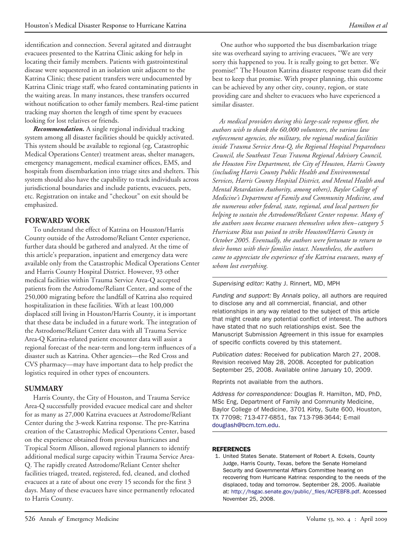<span id="page-11-0"></span>identification and connection. Several agitated and distraught evacuees presented to the Katrina Clinic asking for help in locating their family members. Patients with gastrointestinal disease were sequestered in an isolation unit adjacent to the Katrina Clinic; these patient transfers were undocumented by Katrina Clinic triage staff, who feared contaminating patients in the waiting areas. In many instances, these transfers occurred without notification to other family members. Real-time patient tracking may shorten the length of time spent by evacuees looking for lost relatives or friends.

*Recommendation.* A single regional individual tracking system among all disaster facilities should be quickly activated. This system should be available to regional (eg, Catastrophic Medical Operations Center) treatment areas, shelter managers, emergency management, medical examiner offices, EMS, and hospitals from disembarkation into triage sites and shelters. This system should also have the capability to track individuals across jurisdictional boundaries and include patients, evacuees, pets, etc. Registration on intake and "checkout" on exit should be emphasized.

# **FORWARD WORK**

To understand the effect of Katrina on Houston/Harris County outside of the Astrodome/Reliant Center experience, further data should be gathered and analyzed. At the time of this article's preparation, inpatient and emergency data were available only from the Catastrophic Medical Operations Center and Harris County Hospital District. However, 93 other medical facilities within Trauma Service Area-Q accepted patients from the Astrodome/Reliant Center, and some of the 250,000 migrating before the landfall of Katrina also required hospitalization in these facilities. With at least 100,000 displaced still living in Houston/Harris County, it is important that these data be included in a future work. The integration of the Astrodome/Reliant Center data with all Trauma Service Area-Q Katrina-related patient encounter data will assist a regional forecast of the near-term and long-term influences of a disaster such as Katrina. Other agencies—the Red Cross and CVS pharmacy—may have important data to help predict the logistics required in other types of encounters.

# **SUMMARY**

Harris County, the City of Houston, and Trauma Service Area-Q successfully provided evacuee medical care and shelter for as many as 27,000 Katrina evacuees at Astrodome/Reliant Center during the 3-week Katrina response. The pre-Katrina creation of the Catastrophic Medical Operations Center, based on the experience obtained from previous hurricanes and Tropical Storm Allison, allowed regional planners to identify additional medical surge capacity within Trauma Service Area-Q. The rapidly created Astrodome/Reliant Center shelter facilities triaged, treated, registered, fed, cleaned, and clothed evacuees at a rate of about one every 15 seconds for the first 3 days. Many of these evacuees have since permanently relocated to Harris County.

One author who supported the bus disembarkation triage site was overheard saying to arriving evacuees, "We are very sorry this happened to you. It is really going to get better. We promise!" The Houston Katrina disaster response team did their best to keep that promise. With proper planning, this outcome can be achieved by any other city, county, region, or state providing care and shelter to evacuees who have experienced a similar disaster.

*As medical providers during this large-scale response effort, the authors wish to thank the 60,000 volunteers, the various law enforcement agencies, the military, the regional medical facilities inside Trauma Service Area-Q, the Regional Hospital Preparedness Council, the Southeast Texas Trauma Regional Advisory Council, the Houston Fire Department, the City of Houston, Harris County (including Harris County Public Health and Environmental Services, Harris County Hospital District, and Mental Health and Mental Retardation Authority, among others), Baylor College of Medicine's Department of Family and Community Medicine, and the numerous other federal, state, regional, and local partners for helping to sustain the Astrodome/Reliant Center response. Many of the authors soon became evacuees themselves when then– category 5 Hurricane Rita was poised to strike Houston/Harris County in October 2005. Eventually, the authors were fortunate to return to their homes with their families intact. Nonetheless, the authors came to appreciate the experience of the Katrina evacuees, many of whom lost everything.*

## *Supervising editor:* Kathy J. Rinnert, MD, MPH

*Funding and support:* By *Annals* policy, all authors are required to disclose any and all commercial, financial, and other relationships in any way related to the subject of this article that might create any potential conflict of interest. The authors have stated that no such relationships exist. See the Manuscript Submission Agreement in this issue for examples of specific conflicts covered by this statement.

*Publication dates:* Received for publication March 27, 2008. Revision received May 28, 2008. Accepted for publication September 25, 2008. Available online January 10, 2009.

Reprints not available from the authors.

*Address for correspondence:* Douglas R. Hamilton, MD, PhD, MSc Eng, Department of Family and Community Medicine, Baylor College of Medicine, 3701 Kirby, Suite 600, Houston, TX 77098; 713-477-6851, fax 713-798-3644; E-mail [douglash@bcm.tcm.edu.](mailto:douglash@bcm.tcm.edu)

## **REFERENCES**

1. United States Senate. Statement of Robert A. Eckels, County Judge, Harris County, Texas, before the Senate Homeland Security and Governmental Affairs Committee hearing on recovering from Hurricane Katrina: responding to the needs of the displaced, today and tomorrow. September 28, 2005. Available at: [http://hsgac.senate.gov/public/\\_files/ACFEBF8.pdf.](http://hsgac.senate.gov/public/_files/ACFEBF8.pdf) Accessed November 25, 2008.